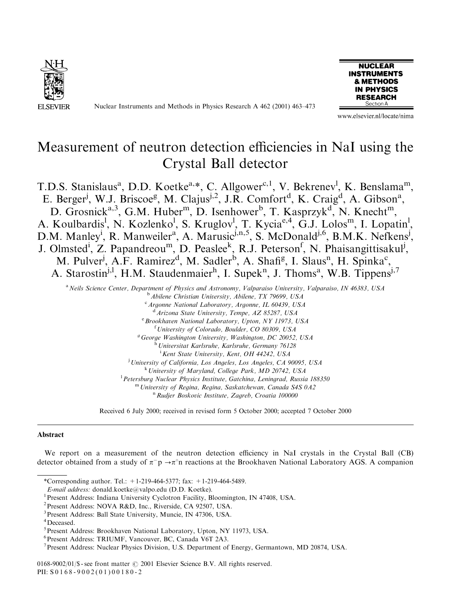

Nuclear Instruments and Methods in Physics Research A 462 (2001) 463–473



www.elsevier.nl/locate/nima

# Measurement of neutron detection efficiencies in NaI using the Crystal Ball detector

T.D.S. Stanislaus<sup>a</sup>, D.D. Koetke<sup>a,\*</sup>, C. Allgower<sup>c,1</sup>, V. Bekrenev<sup>1</sup>, K. Benslama<sup>m</sup>, E. Berger<sup>j</sup>, W.J. Briscoe<sup>g</sup>, M. Clajus<sup>j,2</sup>, J.R. Comfort<sup>d</sup>, K. Craig<sup>d</sup>, A. Gibson<sup>a</sup>, D. Grosnick<sup>a,3</sup>, G.M. Huber<sup>m</sup>, D. Isenhower<sup>b</sup>, T. Kasprzyk<sup>d</sup>, N. Knecht<sup>m</sup>, A. Koulbardis<sup>l</sup>, N. Kozlenko<sup>l</sup>, S. Kruglov<sup>l</sup>, T. Kycia<sup>e,4</sup>, G.J. Lolos<sup>m</sup>, I. Lopatin<sup>l</sup>, D.M. Manley<sup>i</sup>, R. Manweiler<sup>a</sup>, A. Marusic<sup>j,n,5</sup>, S. McDonald<sup>j,6</sup>, B.M.K. Nefkens<sup>j</sup>, J. Olmsted<sup>i</sup>, Z. Papandreou<sup>m</sup>, D. Peaslee<sup>k</sup>, R.J. Peterson<sup>f</sup>, N. Phaisangittisakul<sup>j</sup>, M. Pulver<sup>j</sup>, A.F. Ramirez<sup>d</sup>, M. Sadler<sup>b</sup>, A. Shafi<sup>g</sup>, I. Slaus<sup>n</sup>, H. Spinka<sup>c</sup>, A. Starostin<sup>j,1</sup>, H.M. Staudenmaier<sup>h</sup>, I. Supek<sup>n</sup>, J. Thoms<sup>a</sup>, W.B. Tippens<sup>j,7</sup>

a Neils Science Center, Department of Physics and Astronomy, Valparaiso University, Valparaiso, IN 46383, USA  $<sup>b</sup>$  Abilene Christian University, Abilene, TX 79699, USA</sup> <sup>c</sup> Argonne National Laboratory, Argonne, IL 60439, USA <sup>d</sup>Arizona State University, Tempe, AZ 85287, USA <sup>e</sup> Brookhaven National Laboratory, Upton, NY 11973, USA <sup>f</sup> University of Colorado, Boulder, CO 80309, USA  $^g$  George Washington University, Washington, DC 20052, USA <sup>h</sup> Universitat Karlsruhe, Karlsruhe, Germany 76128 <sup>i</sup> Kent State University, Kent, OH 44242, USA <sup>i</sup> University of California, Los Angeles, Los Angeles, CA 90095, USA

k University of Maryland, College Park, MD 20742, USA

<sup>1</sup> Petersburg Nuclear Physics Institute, Gatchina, Leningrad, Russia 188350

<sup>m</sup> University of Regina, Regina, Saskatchewan, Canada S4S 0A2 <sup>n</sup> Rudjer Boskovic Institute, Zagreb, Croatia 100000

Received 6 July 2000; received in revised form 5 October 2000; accepted 7 October 2000

#### Abstract

We report on a measurement of the neutron detection efficiency in NaI crystals in the Crystal Ball (CB) detector obtained from a study of  $\pi^- p \rightarrow \pi^{\circ} n$  reactions at the Brookhaven National Laboratory AGS. A companion

\*Corresponding author. Tel.: +1-219-464-5377; fax: +1-219-464-5489.

<sup>1</sup> Present Address: Indiana University Cyclotron Facility, Bloomington, IN 47408, USA.

3Present Address: Ball State University, Muncie, IN 47306, USA.

0168-9002/01/\$ - see front matter  $\odot$  2001 Elsevier Science B.V. All rights reserved. PII: S 0168-9002(01)00180-2

E-mail address: donald.koetke@valpo.edu (D.D. Koetke). <sup>1</sup>

<sup>2</sup>Present Address: NOVA R&D, Inc., Riverside, CA 92507, USA.

<sup>4</sup> Deceased.

<sup>5</sup> Present Address: Brookhaven National Laboratory, Upton, NY 11973, USA.

<sup>6</sup>Present Address: TRIUMF, Vancouver, BC, Canada V6T 2A3.

<sup>&</sup>lt;sup>7</sup> Present Address: Nuclear Physics Division, U.S. Department of Energy, Germantown, MD 20874, USA.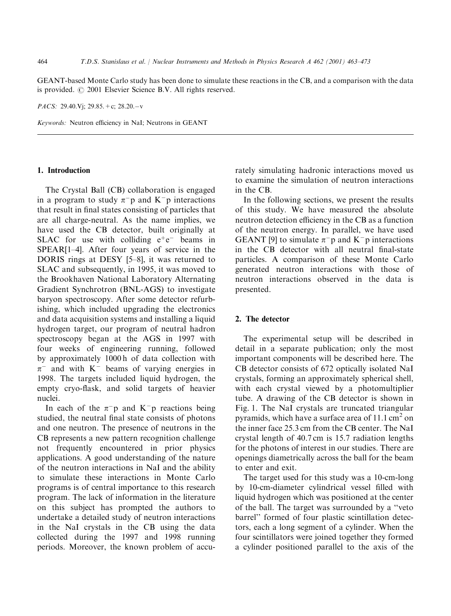GEANT-based Monte Carlo study has been done to simulate these reactions in the CB, and a comparison with the data is provided.  $\odot$  2001 Elsevier Science B.V. All rights reserved.

*PACS:* 29.40.V<sub>i</sub>; 29.85. + c; 28.20. - v

Keywords: Neutron efficiency in NaI; Neutrons in GEANT

### 1. Introduction

The Crystal Ball (CB) collaboration is engaged in a program to study  $\pi^-$  p and K<sup>-</sup> p interactions that result in final states consisting of particles that are all charge-neutral. As the name implies, we have used the CB detector, built originally at SLAC for use with colliding  $e^+e^-$  beams in SPEAR[1–4]. After four years of service in the DORIS rings at DESY [5–8], it was returned to SLAC and subsequently, in 1995, it was moved to the Brookhaven National Laboratory Alternating Gradient Synchrotron (BNL-AGS) to investigate baryon spectroscopy. After some detector refurbishing, which included upgrading the electronics and data acquisition systems and installing a liquid hydrogen target, our program of neutral hadron spectroscopy began at the AGS in 1997 with four weeks of engineering running, followed by approximately 1000 h of data collection with  $\pi^-$  and with K<sup>-</sup> beams of varying energies in 1998. The targets included liquid hydrogen, the empty cryo-flask, and solid targets of heavier nuclei.

In each of the  $\pi$ <sup>-</sup>p and K<sup>-</sup>p reactions being studied, the neutral final state consists of photons and one neutron. The presence of neutrons in the CB represents a new pattern recognition challenge not frequently encountered in prior physics applications. A good understanding of the nature of the neutron interactions in NaI and the ability to simulate these interactions in Monte Carlo programs is of central importance to this research program. The lack of information in the literature on this subject has prompted the authors to undertake a detailed study of neutron interactions in the NaI crystals in the CB using the data collected during the 1997 and 1998 running periods. Moreover, the known problem of accurately simulating hadronic interactions moved us to examine the simulation of neutron interactions in the CB.

In the following sections, we present the results of this study. We have measured the absolute neutron detection efficiency in the CB as a function of the neutron energy. In parallel, we have used GEANT [9] to simulate  $\pi$ <sup>-</sup>p and K<sup>-</sup>p interactions in the CB detector with all neutral final-state particles. A comparison of these Monte Carlo generated neutron interactions with those of neutron interactions observed in the data is presented.

# 2. The detector

The experimental setup will be described in detail in a separate publication; only the most important components will be described here. The CB detector consists of 672 optically isolated NaI crystals, forming an approximately spherical shell, with each crystal viewed by a photomultiplier tube. A drawing of the CB detector is shown in Fig. 1. The NaI crystals are truncated triangular pyramids, which have a surface area of  $11.1 \text{ cm}^2$  on the inner face 25.3 cm from the CB center. The NaI crystal length of  $40.7$  cm is 15.7 radiation lengths for the photons of interest in our studies. There are openings diametrically across the ball for the beam to enter and exit.

The target used for this study was a 10-cm-long by 10-cm-diameter cylindrical vessel filled with liquid hydrogen which was positioned at the center of the ball. The target was surrounded by a "veto" barrel'' formed of four plastic scintillation detectors, each a long segment of a cylinder. When the four scintillators were joined together they formed a cylinder positioned parallel to the axis of the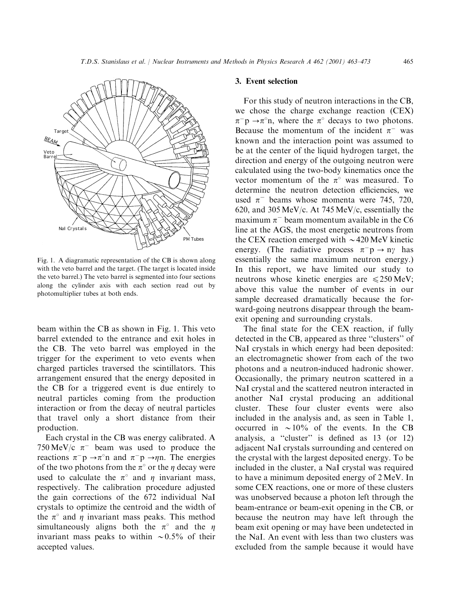

Fig. 1. A diagramatic representation of the CB is shown along with the veto barrel and the target. (The target is located inside the veto barrel.) The veto barrel is segmented into four sections along the cylinder axis with each section read out by photomultiplier tubes at both ends.

beam within the CB as shown in Fig. 1. This veto barrel extended to the entrance and exit holes in the CB. The veto barrel was employed in the trigger for the experiment to veto events when charged particles traversed the scintillators. This arrangement ensured that the energy deposited in the CB for a triggered event is due entirely to neutral particles coming from the production interaction or from the decay of neutral particles that travel only a short distance from their production.

Each crystal in the CB was energy calibrated. A 750 MeV/c  $\pi^-$  beam was used to produce the reactions  $\pi^- p \rightarrow \pi^{\circ} n$  and  $\pi^- p \rightarrow \eta n$ . The energies of the two photons from the  $\pi^{\circ}$  or the  $\eta$  decay were used to calculate the  $\pi^{\circ}$  and  $\eta$  invariant mass, respectively. The calibration procedure adjusted the gain corrections of the 672 individual NaI crystals to optimize the centroid and the width of the  $\pi^{\circ}$  and  $\eta$  invariant mass peaks. This method simultaneously aligns both the  $\pi^{\circ}$  and the *n* invariant mass peaks to within  $\sim 0.5\%$  of their accepted values.

## 3. Event selection

For this study of neutron interactions in the CB, we chose the charge exchange reaction (CEX)  $\pi^ p \rightarrow \pi^0$ n, where the  $\pi^0$  decays to two photons. Because the momentum of the incident  $\pi^-$  was known and the interaction point was assumed to be at the center of the liquid hydrogen target, the direction and energy of the outgoing neutron were calculated using the two-body kinematics once the vector momentum of the  $\pi^{\circ}$  was measured. To determine the neutron detection efficiencies, we used  $\pi^-$  beams whose momenta were 745, 720, 620, and 305 MeV/c. At 745 MeV/c, essentially the maximum  $\pi^-$  beam momentum available in the C6 line at the AGS, the most energetic neutrons from the CEX reaction emerged with  $\sim$  420 MeV kinetic energy. (The radiative process  $\pi^- p \to n\gamma$  has essentially the same maximum neutron energy.) In this report, we have limited our study to neutrons whose kinetic energies are  $\leq 250$  MeV; above this value the number of events in our sample decreased dramatically because the forward-going neutrons disappear through the beamexit opening and surrounding crystals.

The final state for the CEX reaction, if fully detected in the CB, appeared as three ''clusters'' of NaI crystals in which energy had been deposited: an electromagnetic shower from each of the two photons and a neutron-induced hadronic shower. Occasionally, the primary neutron scattered in a NaI crystal and the scattered neutron interacted in another NaI crystal producing an additional cluster. These four cluster events were also included in the analysis and, as seen in Table 1, occurred in  $\sim 10\%$  of the events. In the CB analysis, a ''cluster'' is defined as 13 (or 12) adjacent NaI crystals surrounding and centered on the crystal with the largest deposited energy. To be included in the cluster, a NaI crystal was required to have a minimum deposited energy of2 MeV. In some CEX reactions, one or more of these clusters was unobserved because a photon left through the beam-entrance or beam-exit opening in the CB, or because the neutron may have left through the beam exit opening or may have been undetected in the NaI. An event with less than two clusters was excluded from the sample because it would have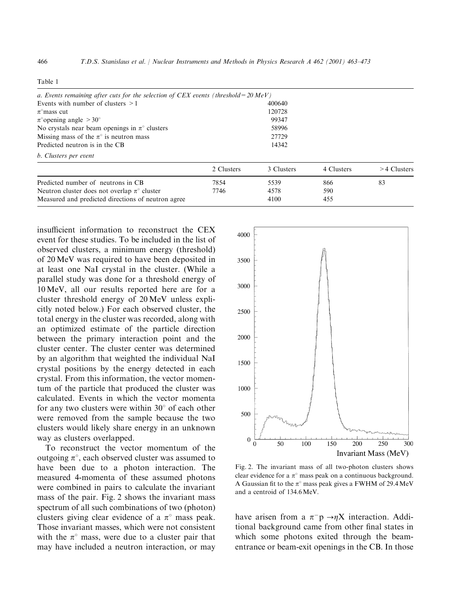|  | г |  |
|--|---|--|
|--|---|--|

|            | 400640     |                                                                                                |               |
|------------|------------|------------------------------------------------------------------------------------------------|---------------|
|            | 120728     |                                                                                                |               |
|            | 99347      |                                                                                                |               |
|            | 58996      |                                                                                                |               |
| 27729      |            |                                                                                                |               |
|            | 14342      |                                                                                                |               |
|            |            |                                                                                                |               |
| 2 Clusters | 3 Clusters | 4 Clusters                                                                                     | $>4$ Clusters |
| 7854       | 5539       | 866                                                                                            | 83            |
| 7746       | 4578       | 590                                                                                            |               |
|            | 4100       | 455                                                                                            |               |
|            |            | a. Events remaining after cuts for the selection of CEX events (threshold = $20 \text{ MeV}$ ) |               |

insufficient information to reconstruct the CEX event for these studies. To be included in the list of observed clusters, a minimum energy (threshold) of20 MeV was required to have been deposited in at least one NaI crystal in the cluster. (While a parallel study was done for a threshold energy of 10 MeV, all our results reported here are for a cluster threshold energy of 20 MeV unless explicitly noted below.) For each observed cluster, the total energy in the cluster was recorded, along with an optimized estimate of the particle direction between the primary interaction point and the cluster center. The cluster center was determined by an algorithm that weighted the individual NaI crystal positions by the energy detected in each crystal. From this information, the vector momentum of the particle that produced the cluster was calculated. Events in which the vector momenta for any two clusters were within  $30^{\circ}$  of each other were removed from the sample because the two clusters would likely share energy in an unknown way as clusters overlapped.

To reconstruct the vector momentum of the outgoing  $\pi^{\circ}$ , each observed cluster was assumed to have been due to a photon interaction. The measured 4-momenta of these assumed photons were combined in pairs to calculate the invariant mass of the pair. Fig. 2 shows the invariant mass spectrum of all such combinations of two (photon) clusters giving clear evidence of a  $\pi^{\circ}$  mass peak. Those invariant masses, which were not consistent with the  $\pi^{\circ}$  mass, were due to a cluster pair that may have included a neutron interaction, or may



Fig. 2. The invariant mass of all two-photon clusters shows clear evidence for a  $\pi^{\circ}$  mass peak on a continuous background. A Gaussian fit to the  $\pi^{\circ}$  mass peak gives a FWHM of 29.4 MeV and a centroid of 134.6 MeV.

have arisen from a  $\pi^- p \rightarrow \eta X$  interaction. Additional background came from other final states in which some photons exited through the beamentrance or beam-exit openings in the CB. In those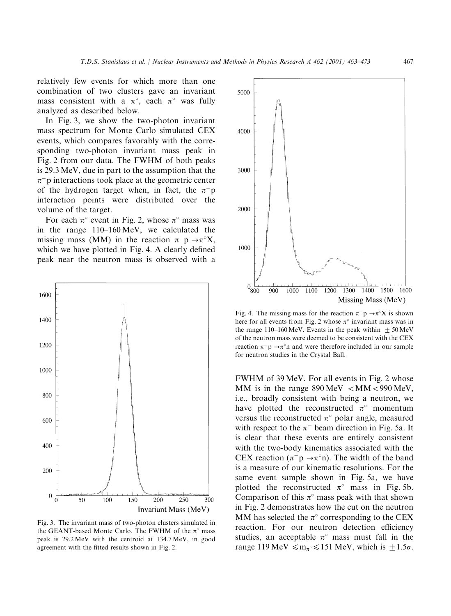relatively few events for which more than one combination of two clusters gave an invariant mass consistent with a  $\pi^{\circ}$ , each  $\pi^{\circ}$  was fully analyzed as described below.

In Fig. 3, we show the two-photon invariant mass spectrum for Monte Carlo simulated CEX events, which compares favorably with the corresponding two-photon invariant mass peak in Fig. 2 from our data. The FWHM of both peaks is 29.3 MeV, due in part to the assumption that the  $\pi$ <sup>-</sup>p interactions took place at the geometric center of the hydrogen target when, in fact, the  $\pi$ <sup>-</sup>p interaction points were distributed over the volume of the target.

For each  $\pi^{\circ}$  event in Fig. 2, whose  $\pi^{\circ}$  mass was in the range 110–160 MeV, we calculated the missing mass (MM) in the reaction  $\pi^- p \rightarrow \pi^0 X$ , which we have plotted in Fig. 4. A clearly defined peak near the neutron mass is observed with a



Fig. 3. The invariant mass of two-photon clusters simulated in the GEANT-based Monte Carlo. The FWHM of the  $\pi^{\circ}$  mass peak is 29.2MeV with the centroid at 134.7MeV, in good agreement with the fitted results shown in Fig. 2.



Fig. 4. The missing mass for the reaction  $\pi^-$ p  $\rightarrow \pi^0$ X is shown here for all events from Fig. 2 whose  $\pi^{\circ}$  invariant mass was in the range 110–160 MeV. Events in the peak within  $+50$  MeV of the neutron mass were deemed to be consistent with the CEX reaction  $\pi^-$  p  $\rightarrow \pi^{\circ}$ n and were therefore included in our sample for neutron studies in the Crystal Ball.

FWHM of 39 MeV. For all events in Fig. 2 whose MM is in the range  $890 \,\text{MeV} < 990 \,\text{MeV}$ , i.e., broadly consistent with being a neutron, we have plotted the reconstructed  $\pi^{\circ}$  momentum versus the reconstructed  $\pi^{\circ}$  polar angle, measured with respect to the  $\pi^-$  beam direction in Fig. 5a. It is clear that these events are entirely consistent with the two-body kinematics associated with the CEX reaction ( $\pi^-$ p  $\rightarrow \pi^{\circ}$ n). The width of the band is a measure of our kinematic resolutions. For the same event sample shown in Fig. 5a, we have plotted the reconstructed  $\pi^{\circ}$  mass in Fig. 5b. Comparison of this  $\pi^{\circ}$  mass peak with that shown in Fig. 2 demonstrates how the cut on the neutron MM has selected the  $\pi^{\circ}$  corresponding to the CEX reaction. For our neutron detection efficiency studies, an acceptable  $\pi^{\circ}$  mass must fall in the range 119 MeV  $\leq m_{\pi} \leq 151$  MeV, which is  $\pm 1.5\sigma$ .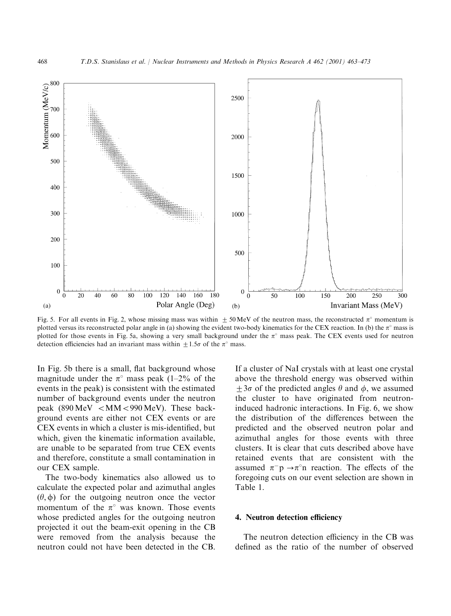

Fig. 5. For all events in Fig. 2, whose missing mass was within  $\pm 50$  MeV of the neutron mass, the reconstructed  $\pi^{\circ}$  momentum is plotted versus its reconstructed polar angle in (a) showing the evident two-body kinematics for the CEX reaction. In (b) the  $\pi^{\circ}$  mass is plotted for those events in Fig. 5a, showing a very small background under the  $\pi$ <sup>o</sup> mass peak. The CEX events used for neutron detection efficiencies had an invariant mass within  $\pm 1.5\sigma$  of the  $\pi^{\circ}$  mass.

In Fig. 5b there is a small, flat background whose magnitude under the  $\pi^{\circ}$  mass peak (1–2% of the events in the peak) is consistent with the estimated number of background events under the neutron peak (890 MeV  $\langle$  MM $\langle$ 990 MeV). These background events are either not CEX events or are CEX events in which a cluster is mis-identified, but which, given the kinematic information available, are unable to be separated from true CEX events and therefore, constitute a small contamination in our CEX sample.

The two-body kinematics also allowed us to calculate the expected polar and azimuthal angles  $(\theta, \phi)$  for the outgoing neutron once the vector momentum of the  $\pi^{\circ}$  was known. Those events whose predicted angles for the outgoing neutron projected it out the beam-exit opening in the CB were removed from the analysis because the neutron could not have been detected in the CB.

If a cluster of NaI crystals with at least one crystal above the threshold energy was observed within  $+3\sigma$  of the predicted angles  $\theta$  and  $\phi$ , we assumed the cluster to have originated from neutroninduced hadronic interactions. In Fig. 6, we show the distribution of the differences between the predicted and the observed neutron polar and azimuthal angles for those events with three clusters. It is clear that cuts described above have retained events that are consistent with the assumed  $\pi^- p \rightarrow \pi^{\circ} n$  reaction. The effects of the foregoing cuts on our event selection are shown in Table 1.

#### 4. Neutron detection efficiency

The neutron detection efficiency in the CB was defined as the ratio of the number of observed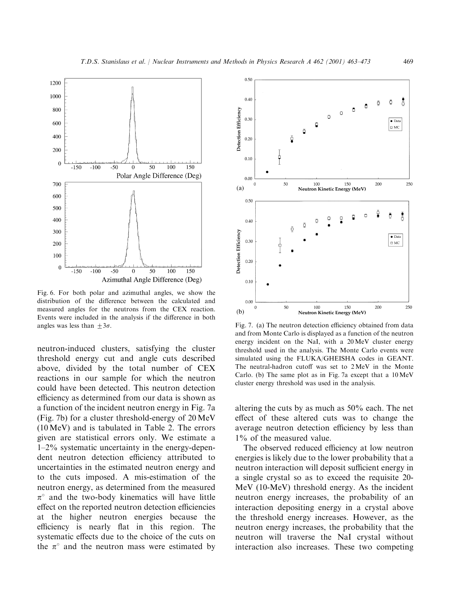

Fig. 6. For both polar and azimuthal angles, we show the distribution of the difference between the calculated and measured angles for the neutrons from the CEX reaction. Events were included in the analysis if the difference in both angles was less than  $\pm 3\sigma$ . Fig. 7. (a) The neutron detection efficiency obtained from data

neutron-induced clusters, satisfying the cluster threshold energy cut and angle cuts described above, divided by the total number of CEX reactions in our sample for which the neutron could have been detected. This neutron detection efficiency as determined from our data is shown as a function of the incident neutron energy in Fig. 7a (Fig. 7b) for a cluster threshold-energy of 20 MeV (10 MeV) and is tabulated in Table 2. The errors given are statistical errors only. We estimate a 1–2% systematic uncertainty in the energy-dependent neutron detection efficiency attributed to uncertainties in the estimated neutron energy and to the cuts imposed. A mis-estimation of the neutron energy, as determined from the measured  $\pi^{\circ}$  and the two-body kinematics will have little effect on the reported neutron detection efficiencies at the higher neutron energies because the efficiency is nearly flat in this region. The systematic effects due to the choice of the cuts on the  $\pi^{\circ}$  and the neutron mass were estimated by



and from Monte Carlo is displayed as a function of the neutron energy incident on the NaI, with a 20 MeV cluster energy threshold used in the analysis. The Monte Carlo events were simulated using the FLUKA/GHEISHA codes in GEANT. The neutral-hadron cutoff was set to 2 MeV in the Monte Carlo. (b) The same plot as in Fig. 7a except that a 10MeV cluster energy threshold was used in the analysis.

altering the cuts by as much as 50% each. The net effect of these altered cuts was to change the average neutron detection efficiency by less than  $1\%$  of the measured value.

The observed reduced efficiency at low neutron energies is likely due to the lower probability that a neutron interaction will deposit sufficient energy in a single crystal so as to exceed the requisite 20- MeV (10-MeV) threshold energy. As the incident neutron energy increases, the probability of an interaction depositing energy in a crystal above the threshold energy increases. However, as the neutron energy increases, the probability that the neutron will traverse the NaI crystal without interaction also increases. These two competing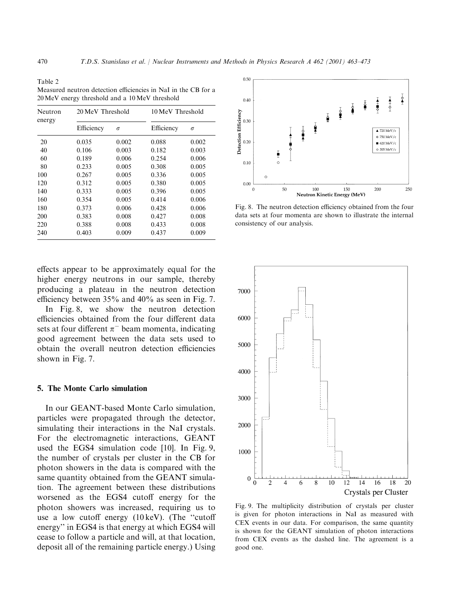Table 2 Measured neutron detection efficiencies in NaI in the CB for a 20MeV energy threshold and a 10 MeV threshold

| Neutron<br>energy | 20 MeV Threshold |          | 10 MeV Threshold |          |  |
|-------------------|------------------|----------|------------------|----------|--|
|                   | Efficiency       | $\sigma$ | Efficiency       | $\sigma$ |  |
| 20                | 0.035            | 0.002    | 0.088            | 0.002    |  |
| 40                | 0.106            | 0.003    | 0.182            | 0.003    |  |
| 60                | 0.189            | 0.006    | 0.254            | 0.006    |  |
| 80                | 0.233            | 0.005    | 0.308            | 0.005    |  |
| 100               | 0.267            | 0.005    | 0.336            | 0.005    |  |
| 120               | 0.312            | 0.005    | 0.380            | 0.005    |  |
| 140               | 0.333            | 0.005    | 0.396            | 0.005    |  |
| 160               | 0.354            | 0.005    | 0.414            | 0.006    |  |
| 180               | 0.373            | 0.006    | 0.428            | 0.006    |  |
| 200               | 0.383            | 0.008    | 0.427            | 0.008    |  |
| 220               | 0.388            | 0.008    | 0.433            | 0.008    |  |
| 240               | 0.403            | 0.009    | 0.437            | 0.009    |  |

effects appear to be approximately equal for the higher energy neutrons in our sample, thereby producing a plateau in the neutron detection efficiency between 35% and 40% as seen in Fig. 7.

In Fig. 8, we show the neutron detection efficiencies obtained from the four different data sets at four different  $\pi^-$  beam momenta, indicating good agreement between the data sets used to obtain the overall neutron detection efficiencies shown in Fig. 7.

#### 5. The Monte Carlo simulation

In our GEANT-based Monte Carlo simulation, particles were propagated through the detector, simulating their interactions in the NaI crystals. For the electromagnetic interactions, GEANT used the EGS4 simulation code [10]. In Fig. 9, the number of crystals per cluster in the CB for photon showers in the data is compared with the same quantity obtained from the GEANT simulation. The agreement between these distributions worsened as the EGS4 cutoff energy for the photon showers was increased, requiring us to use a low cutoff energy (10 keV). (The ''cutoff energy'' in EGS4 is that energy at which EGS4 will cease to follow a particle and will, at that location, deposit all of the remaining particle energy.) Using



Fig. 8. The neutron detection efficiency obtained from the four data sets at four momenta are shown to illustrate the internal consistency of our analysis.



Fig. 9. The multiplicity distribution of crystals per cluster is given for photon interactions in NaI as measured with CEX events in our data. For comparison, the same quantity is shown for the GEANT simulation of photon interactions from CEX events as the dashed line. The agreement is a good one.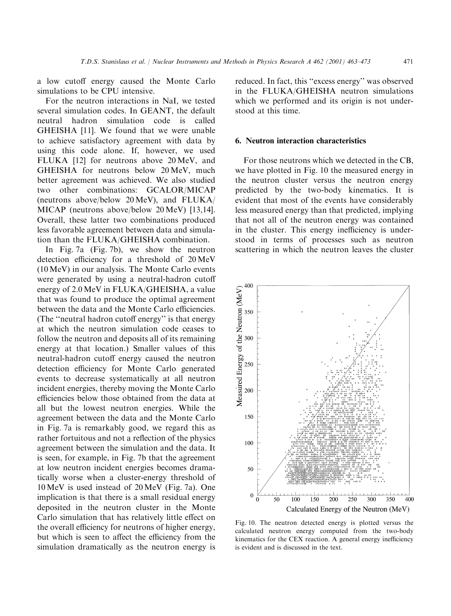a low cutoff energy caused the Monte Carlo simulations to be CPU intensive.

For the neutron interactions in NaI, we tested several simulation codes. In GEANT, the default neutral hadron simulation code is called GHEISHA [11]. We found that we were unable to achieve satisfactory agreement with data by using this code alone. If, however, we used FLUKA [12] for neutrons above 20 MeV, and GHEISHA for neutrons below 20 MeV, much better agreement was achieved. We also studied two other combinations: GCALOR/MICAP (neutrons above/below 20 MeV), and FLUKA/ MICAP (neutrons above/below 20 MeV) [13,14]. Overall, these latter two combinations produced less favorable agreement between data and simulation than the FLUKA/GHEISHA combination.

In Fig. 7a (Fig. 7b), we show the neutron detection efficiency for a threshold of 20 MeV (10 MeV) in our analysis. The Monte Carlo events were generated by using a neutral-hadron cutoff energy of 2.0 MeV in FLUKA/GHEISHA, a value that was found to produce the optimal agreement between the data and the Monte Carlo efficiencies. (The ''neutral hadron cutoff energy'' is that energy at which the neutron simulation code ceases to follow the neutron and deposits all of its remaining energy at that location.) Smaller values of this neutral-hadron cutoff energy caused the neutron detection efficiency for Monte Carlo generated events to decrease systematically at all neutron incident energies, thereby moving the Monte Carlo efficiencies below those obtained from the data at all but the lowest neutron energies. While the agreement between the data and the Monte Carlo in Fig. 7a is remarkably good, we regard this as rather fortuitous and not a reflection of the physics agreement between the simulation and the data. It is seen, for example, in Fig. 7b that the agreement at low neutron incident energies becomes dramatically worse when a cluster-energy threshold of 10 MeV is used instead of 20 MeV (Fig. 7a). One implication is that there is a small residual energy deposited in the neutron cluster in the Monte Carlo simulation that has relatively little effect on the overall efficiency for neutrons of higher energy, but which is seen to affect the efficiency from the simulation dramatically as the neutron energy is reduced. In fact, this ''excess energy'' was observed in the FLUKA/GHEISHA neutron simulations which we performed and its origin is not understood at this time.

#### 6. Neutron interaction characteristics

For those neutrons which we detected in the CB, we have plotted in Fig. 10 the measured energy in the neutron cluster versus the neutron energy predicted by the two-body kinematics. It is evident that most of the events have considerably less measured energy than that predicted, implying that not all of the neutron energy was contained in the cluster. This energy inefficiency is understood in terms of processes such as neutron scattering in which the neutron leaves the cluster



Fig. 10. The neutron detected energy is plotted versus the calculated neutron energy computed from the two-body kinematics for the CEX reaction. A general energy inefficiency is evident and is discussed in the text.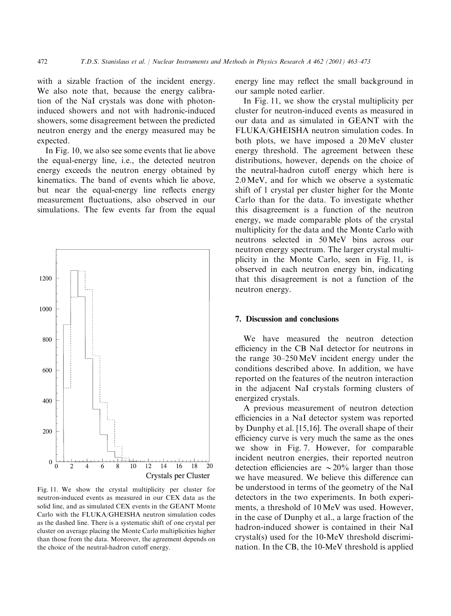with a sizable fraction of the incident energy. We also note that, because the energy calibration of the NaI crystals was done with photoninduced showers and not with hadronic-induced showers, some disagreement between the predicted neutron energy and the energy measured may be expected.

In Fig. 10, we also see some events that lie above the equal-energy line, i.e., the detected neutron energy exceeds the neutron energy obtained by kinematics. The band of events which lie above, but near the equal-energy line reflects energy measurement fluctuations, also observed in our simulations. The few events far from the equal



Fig. 11. We show the crystal multiplicity per cluster for neutron-induced events as measured in our CEX data as the solid line, and as simulated CEX events in the GEANT Monte Carlo with the FLUKA/GHEISHA neutron simulation codes as the dashed line. There is a systematic shift of one crystal per cluster on average placing the Monte Carlo multiplicities higher than those from the data. Moreover, the agreement depends on the choice of the neutral-hadron cutoff energy.

energy line may reflect the small background in our sample noted earlier.

In Fig. 11, we show the crystal multiplicity per cluster for neutron-induced events as measured in our data and as simulated in GEANT with the FLUKA/GHEISHA neutron simulation codes. In both plots, we have imposed a 20 MeV cluster energy threshold. The agreement between these distributions, however, depends on the choice of the neutral-hadron cutoff energy which here is 2.0 MeV, and for which we observe a systematic shift of 1 crystal per cluster higher for the Monte Carlo than for the data. To investigate whether this disagreement is a function of the neutron energy, we made comparable plots of the crystal multiplicity for the data and the Monte Carlo with neutrons selected in 50 MeV bins across our neutron energy spectrum. The larger crystal multiplicity in the Monte Carlo, seen in Fig. 11, is observed in each neutron energy bin, indicating that this disagreement is not a function of the neutron energy.

## 7. Discussion and conclusions

We have measured the neutron detection efficiency in the CB NaI detector for neutrons in the range 30–250 MeV incident energy under the conditions described above. In addition, we have reported on the features of the neutron interaction in the adjacent NaI crystals forming clusters of energized crystals.

A previous measurement of neutron detection efficiencies in a NaI detector system was reported by Dunphy et al. [15,16]. The overall shape of their efficiency curve is very much the same as the ones we show in Fig. 7. However, for comparable incident neutron energies, their reported neutron detection efficiencies are  $\sim 20\%$  larger than those we have measured. We believe this difference can be understood in terms of the geometry of the NaI detectors in the two experiments. In both experiments, a threshold of 10 MeV was used. However, in the case of Dunphy et al., a large fraction of the hadron-induced shower is contained in their NaI crystal(s) used for the 10-MeV threshold discrimination. In the CB, the 10-MeV threshold is applied